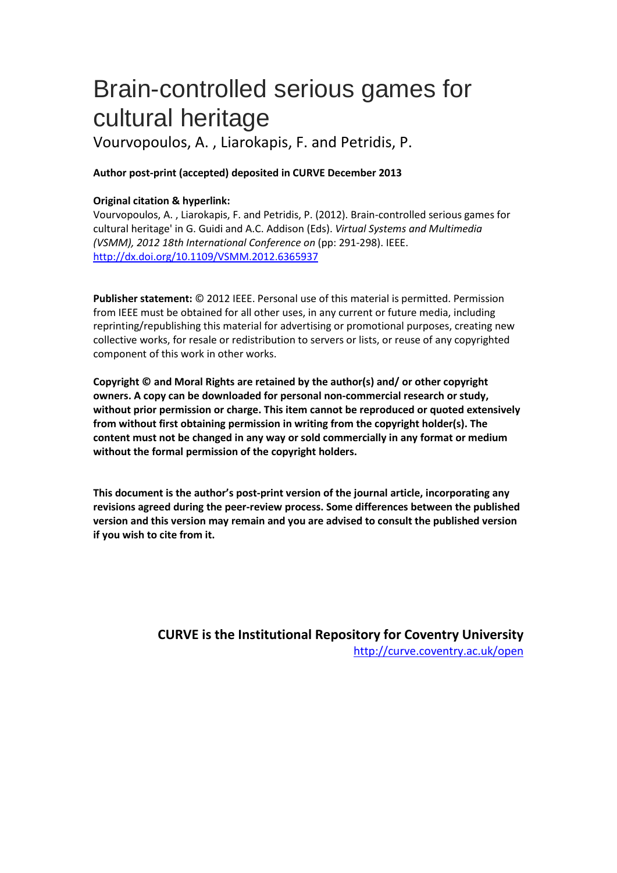# Brain-controlled serious games for cultural heritage

Vourvopoulos, A. , Liarokapis, F. and Petridis, P.

## **Author post-print (accepted) deposited in CURVE December 2013**

### **Original citation & hyperlink:**

Vourvopoulos, A. , Liarokapis, F. and Petridis, P. (2012). Brain-controlled serious games for cultural heritage' in G. Guidi and A.C. Addison (Eds). *Virtual Systems and Multimedia (VSMM), 2012 18th International Conference on* (pp: 291-298). IEEE. http[://dx.doi.org/10.1109/VSMM.2012.6365937](http://dx.doi.org/10.1109/VSMM.2012.6365937)

**Publisher statement:** © 2012 IEEE. Personal use of this material is permitted. Permission from IEEE must be obtained for all other uses, in any current or future media, including reprinting/republishing this material for advertising or promotional purposes, creating new collective works, for resale or redistribution to servers or lists, or reuse of any copyrighted component of this work in other works.

**Copyright © and Moral Rights are retained by the author(s) and/ or other copyright owners. A copy can be downloaded for personal non-commercial research or study, without prior permission or charge. This item cannot be reproduced or quoted extensively from without first obtaining permission in writing from the copyright holder(s). The content must not be changed in any way or sold commercially in any format or medium without the formal permission of the copyright holders.** 

**This document is the author's post-print version of the journal article, incorporating any revisions agreed during the peer-review process. Some differences between the published version and this version may remain and you are advised to consult the published version if you wish to cite from it.**

> **CURVE is the Institutional Repository for Coventry University** <http://curve.coventry.ac.uk/open>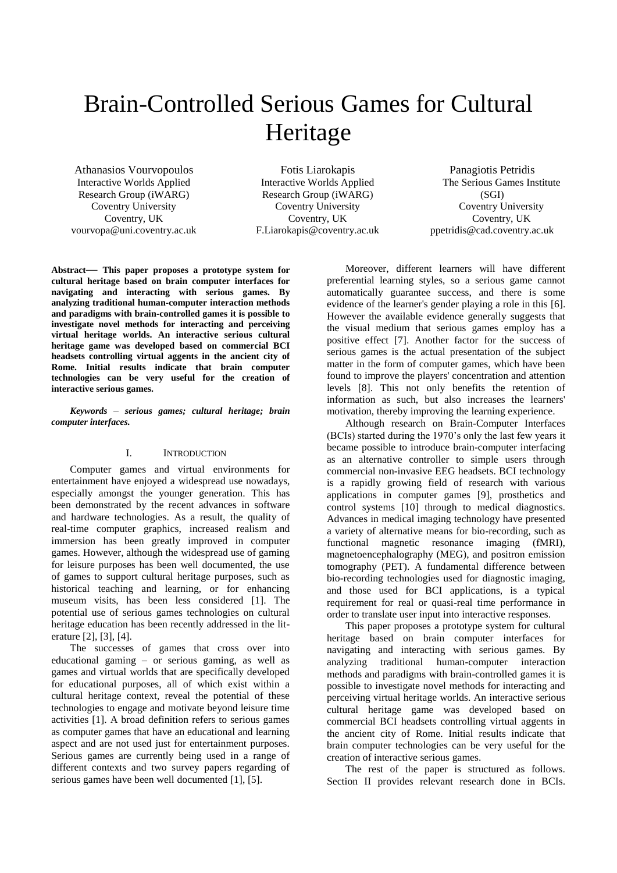## Brain-Controlled Serious Games for Cultural Heritage

Athanasios Vourvopoulos Interactive Worlds Applied Research Group (iWARG) Coventry University Coventry, UK vourvopa@uni.coventry.ac.uk

Fotis Liarokapis Interactive Worlds Applied Research Group (iWARG) Coventry University Coventry, UK F.Liarokapis@coventry.ac.uk

Panagiotis Petridis The Serious Games Institute (SGI) Coventry University Coventry, UK ppetridis@cad.coventry.ac.uk

**Abstract— This paper proposes a prototype system for cultural heritage based on brain computer interfaces for navigating and interacting with serious games. By analyzing traditional human-computer interaction methods and paradigms with brain-controlled games it is possible to investigate novel methods for interacting and perceiving virtual heritage worlds. An interactive serious cultural heritage game was developed based on commercial BCI headsets controlling virtual aggents in the ancient city of Rome. Initial results indicate that brain computer technologies can be very useful for the creation of interactive serious games.**

#### *Keywords – serious games; cultural heritage; brain computer interfaces.*

#### I. INTRODUCTION

Computer games and virtual environments for entertainment have enjoyed a widespread use nowadays, especially amongst the younger generation. This has been demonstrated by the recent advances in software and hardware technologies. As a result, the quality of real-time computer graphics, increased realism and immersion has been greatly improved in computer games. However, although the widespread use of gaming for leisure purposes has been well documented, the use of games to support cultural heritage purposes, such as historical teaching and learning, or for enhancing museum visits, has been less considered [\[1\].](#page-7-0) The potential use of serious games technologies on cultural heritage education has been recently addressed in the literature [\[2\],](#page-7-1) [\[3\],](#page-7-2) [\[4\].](#page-7-3)

The successes of games that cross over into educational gaming – or serious gaming, as well as games and virtual worlds that are specifically developed for educational purposes, all of which exist within a cultural heritage context, reveal the potential of these technologies to engage and motivate beyond leisure time activities [\[1\].](#page-7-0) A broad definition refers to serious games as computer games that have an educational and learning aspect and are not used just for entertainment purposes. Serious games are currently being used in a range of different contexts and two survey papers regarding of serious games have been well documented [\[1\],](#page-7-0) [\[5\].](#page-7-4)

Moreover, different learners will have different preferential learning styles, so a serious game cannot automatically guarantee success, and there is some evidence of the learner's gender playing a role in this [\[6\].](#page-7-5) However the available evidence generally suggests that the visual medium that serious games employ has a positive effect [\[7\].](#page-7-6) Another factor for the success of serious games is the actual presentation of the subject matter in the form of computer games, which have been found to improve the players' concentration and attention levels [\[8\].](#page-7-7) This not only benefits the retention of information as such, but also increases the learners' motivation, thereby improving the learning experience.

Although research on Brain-Computer Interfaces (BCIs) started during the 1970"s only the last few years it became possible to introduce brain-computer interfacing as an alternative controller to simple users through commercial non-invasive EEG headsets. BCI technology is a rapidly growing field of research with various applications in computer games [\[9\],](#page-7-8) prosthetics and control systems [\[10\]](#page-7-9) through to medical diagnostics. Advances in medical imaging technology have presented a variety of alternative means for bio-recording, such as functional magnetic resonance imaging (fMRI), magnetoencephalography (MEG), and positron emission tomography (PET). A fundamental difference between bio-recording technologies used for diagnostic imaging, and those used for BCI applications, is a typical requirement for real or quasi-real time performance in order to translate user input into interactive responses.

This paper proposes a prototype system for cultural heritage based on brain computer interfaces for navigating and interacting with serious games. By analyzing traditional human-computer interaction methods and paradigms with brain-controlled games it is possible to investigate novel methods for interacting and perceiving virtual heritage worlds. An interactive serious cultural heritage game was developed based on commercial BCI headsets controlling virtual aggents in the ancient city of Rome. Initial results indicate that brain computer technologies can be very useful for the creation of interactive serious games.

The rest of the paper is structured as follows. Section [II](#page-2-0) provides relevant research done in BCIs.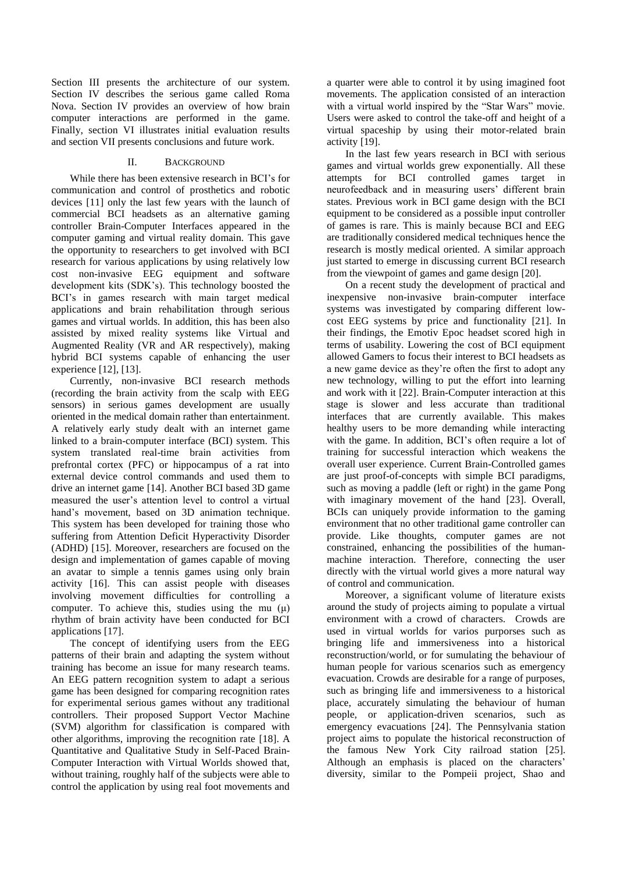Section [III](#page-3-0) presents the architecture of our system. Section [IV](#page-3-1) describes the serious game called Roma Nova. Section [IV](#page-3-1) provides an overview of how brain computer interactions are performed in the game. Finally, section [VI](#page-6-0) illustrates initial evaluation results and section [VII](#page-7-10) presents conclusions and future work.

#### II. BACKGROUND

<span id="page-2-0"></span>While there has been extensive research in BCI"s for communication and control of prosthetics and robotic devices [\[11\]](#page-7-11) only the last few years with the launch of commercial BCI headsets as an alternative gaming controller Brain-Computer Interfaces appeared in the computer gaming and virtual reality domain. This gave the opportunity to researchers to get involved with BCI research for various applications by using relatively low cost non-invasive EEG equipment and software development kits (SDK"s). This technology boosted the BCI's in games research with main target medical applications and brain rehabilitation through serious games and virtual worlds. In addition, this has been also assisted by mixed reality systems like Virtual and Augmented Reality (VR and AR respectively), making hybrid BCI systems capable of enhancing the user experience [\[12\],](#page-8-0) [\[13\].](#page-8-1)

Currently, non-invasive BCI research methods (recording the brain activity from the scalp with EEG sensors) in serious games development are usually oriented in the medical domain rather than entertainment. A relatively early study dealt with an internet game linked to a brain-computer interface (BCI) system. This system translated real-time brain activities from prefrontal cortex (PFC) or hippocampus of a rat into external device control commands and used them to drive an internet game [\[14\].](#page-8-2) Another BCI based 3D game measured the user"s attention level to control a virtual hand"s movement, based on 3D animation technique. This system has been developed for training those who suffering from Attention Deficit Hyperactivity Disorder (ADHD) [\[15\].](#page-8-3) Moreover, researchers are focused on the design and implementation of games capable of moving an avatar to simple a tennis games using only brain activity [\[16\].](#page-8-4) This can assist people with diseases involving movement difficulties for controlling a computer. To achieve this, studies using the mu  $(\mu)$ rhythm of brain activity have been conducted for BCI applications [\[17\].](#page-8-5)

The concept of identifying users from the EEG patterns of their brain and adapting the system without training has become an issue for many research teams. An EEG pattern recognition system to adapt a serious game has been designed for comparing recognition rates for experimental serious games without any traditional controllers. Their proposed Support Vector Machine (SVM) algorithm for classification is compared with other algorithms, improving the recognition rate [\[18\].](#page-8-6) A Quantitative and Qualitative Study in Self-Paced Brain-Computer Interaction with Virtual Worlds showed that, without training, roughly half of the subjects were able to control the application by using real foot movements and a quarter were able to control it by using imagined foot movements. The application consisted of an interaction with a virtual world inspired by the "Star Wars" movie. Users were asked to control the take-off and height of a virtual spaceship by using their motor-related brain activity [\[19\].](#page-8-7)

In the last few years research in BCI with serious games and virtual worlds grew exponentially. All these attempts for BCI controlled games target in neurofeedback and in measuring users' different brain states. Previous work in BCI game design with the BCI equipment to be considered as a possible input controller of games is rare. This is mainly because BCI and EEG are traditionally considered medical techniques hence the research is mostly medical oriented. A similar approach just started to emerge in discussing current BCI research from the viewpoint of games and game design [\[20\].](#page-8-8)

On a recent study the development of practical and inexpensive non-invasive brain-computer interface systems was investigated by comparing different lowcost EEG systems by price and functionality [\[21\].](#page-8-9) In their findings, the Emotiv Epoc headset scored high in terms of usability. Lowering the cost of BCI equipment allowed Gamers to focus their interest to BCI headsets as a new game device as they"re often the first to adopt any new technology, willing to put the effort into learning and work with it [\[22\].](#page-8-10) Brain-Computer interaction at this stage is slower and less accurate than traditional interfaces that are currently available. This makes healthy users to be more demanding while interacting with the game. In addition, BCI's often require a lot of training for successful interaction which weakens the overall user experience. Current Brain-Controlled games are just proof-of-concepts with simple BCI paradigms, such as moving a paddle (left or right) in the game Pong with imaginary movement of the hand [\[23\].](#page-8-11) Overall, BCIs can uniquely provide information to the gaming environment that no other traditional game controller can provide. Like thoughts, computer games are not constrained, enhancing the possibilities of the humanmachine interaction. Therefore, connecting the user directly with the virtual world gives a more natural way of control and communication.

Moreover, a significant volume of literature exists around the study of projects aiming to populate a virtual environment with a crowd of characters. Crowds are used in virtual worlds for varios purporses such as bringing life and immersiveness into a historical reconstruction/world, or for sumulating the behaviour of human people for various scenarios such as emergency evacuation. Crowds are desirable for a range of purposes, such as bringing life and immersiveness to a historical place, accurately simulating the behaviour of human people, or application-driven scenarios, such as emergency evacuations [\[24\].](#page-8-12) The Pennsylvania station project aims to populate the historical reconstruction of the famous New York City railroad station [\[25\].](#page-8-13) Although an emphasis is placed on the characters' diversity, similar to the Pompeii project, Shao and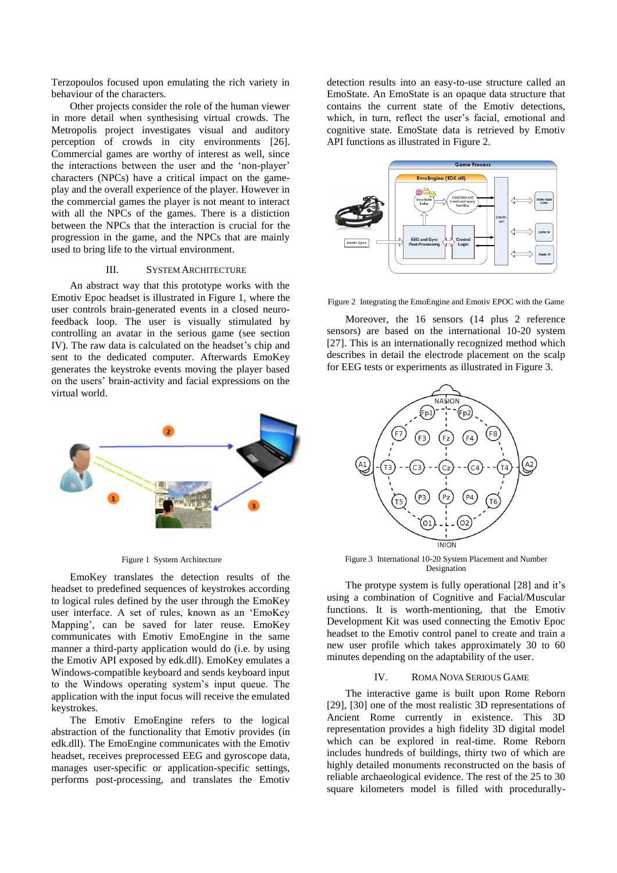Terzopoulos focused upon emulating the rich variety in behaviour of the characters.

Other projects consider the role of the human viewer in more detail when synthesising virtual crowds. The Metropolis project investigates visual and auditory perception of crowds in city environments [\[26\].](#page-8-14) Commercial games are worthy of interest as well, since the interactions between the user and the "non-player" characters (NPCs) have a critical impact on the gameplay and the overall experience of the player. However in the commercial games the player is not meant to interact with all the NPCs of the games. There is a distiction between the NPCs that the interaction is crucial for the progression in the game, and the NPCs that are mainly used to bring life to the virtual environment.

#### <span id="page-3-0"></span>III. SYSTEM ARCHITECTURE

An abstract way that this prototype works with the Emotiv Epoc headset is illustrated in [Figure 1,](#page-3-2) where the user controls brain-generated events in a closed neurofeedback loop. The user is visually stimulated by controlling an avatar in the serious game (see section [IV\)](#page-3-1). The raw data is calculated on the headset's chip and sent to the dedicated computer. Afterwards EmoKey generates the keystroke events moving the player based on the users" brain-activity and facial expressions on the virtual world.



#### <span id="page-3-2"></span>Figure 1 System Architecture

EmoKey translates the detection results of the headset to predefined sequences of keystrokes according to logical rules defined by the user through the EmoKey user interface. A set of rules, known as an "EmoKey Mapping", can be saved for later reuse. EmoKey communicates with Emotiv EmoEngine in the same manner a third-party application would do (i.e. by using the Emotiv API exposed by edk.dll). EmoKey emulates a Windows-compatible keyboard and sends keyboard input to the Windows operating system"s input queue. The application with the input focus will receive the emulated keystrokes.

The Emotiv EmoEngine refers to the logical abstraction of the functionality that Emotiv provides (in edk.dll). The EmoEngine communicates with the Emotiv headset, receives preprocessed EEG and gyroscope data, manages user-specific or application-specific settings, performs post-processing, and translates the Emotiv

detection results into an easy-to-use structure called an EmoState. An EmoState is an opaque data structure that contains the current state of the Emotiv detections, which, in turn, reflect the user's facial, emotional and cognitive state. EmoState data is retrieved by Emotiv API functions as illustrated in [Figure 2.](#page-3-3)



<span id="page-3-3"></span>Figure 2 Integrating the EmoEngine and Emotiv EPOC with the Game

Moreover, the 16 sensors (14 plus 2 reference sensors) are based on the international 10-20 system [\[27\].](#page-8-15) This is an internationally recognized method which describes in detail the electrode placement on the scalp for EEG tests or experiments as illustrated i[n Figure 3.](#page-3-4)



<span id="page-3-4"></span>Figure 3 International 10-20 System Placement and Number Designation

The protype system is fully operational [\[28\]](#page-8-16) and it's using a combination of Cognitive and Facial/Muscular functions. It is worth-mentioning, that the Emotiv Development Kit was used connecting the Emotiv Epoc headset to the Emotiv control panel to create and train a new user profile which takes approximately 30 to 60 minutes depending on the adaptability of the user.

#### IV. ROMA NOVA SERIOUS GAME

<span id="page-3-1"></span>The interactive game is built upon Rome Reborn [\[29\],](#page-8-17) [\[30\]](#page-8-18) one of the most realistic 3D representations of Ancient Rome currently in existence. This 3D representation provides a high fidelity 3D digital model which can be explored in real-time. Rome Reborn includes hundreds of buildings, thirty two of which are highly detailed monuments reconstructed on the basis of reliable archaeological evidence. The rest of the 25 to 30 square kilometers model is filled with procedurally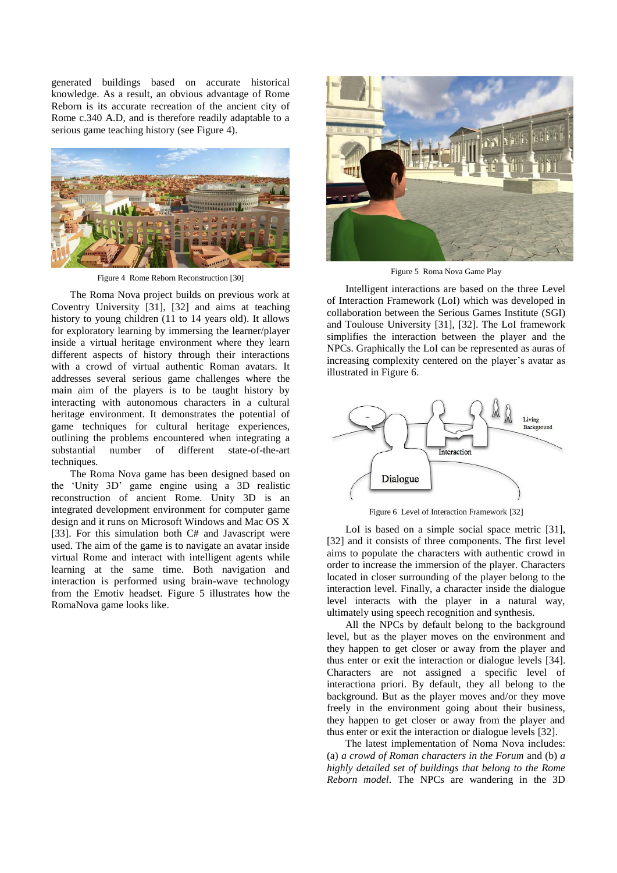generated buildings based on accurate historical knowledge. As a result, an obvious advantage of Rome Reborn is its accurate recreation of the ancient city of Rome c.340 A.D, and is therefore readily adaptable to a serious game teaching history (see [Figure 4\)](#page-4-0).



Figure 4 Rome Reborn Reconstruction [\[30\]](#page-8-18)

<span id="page-4-0"></span>The Roma Nova project builds on previous work at Coventry University [\[31\],](#page-8-19) [\[32\]](#page-8-20) and aims at teaching history to young children (11 to 14 years old). It allows for exploratory learning by immersing the learner/player inside a virtual heritage environment where they learn different aspects of history through their interactions with a crowd of virtual authentic Roman avatars. It addresses several serious game challenges where the main aim of the players is to be taught history by interacting with autonomous characters in a cultural heritage environment. It demonstrates the potential of game techniques for cultural heritage experiences, outlining the problems encountered when integrating a substantial number of different state-of-the-art techniques.

The Roma Nova game has been designed based on the "Unity 3D" game engine using a 3D realistic reconstruction of ancient Rome. Unity 3D is an integrated development environment for computer game design and it runs on Microsoft Windows and Mac OS X [\[33\].](#page-8-21) For this simulation both C# and Javascript were used. The aim of the game is to navigate an avatar inside virtual Rome and interact with intelligent agents while learning at the same time. Both navigation and interaction is performed using brain-wave technology from the Emotiv headset. [Figure 5](#page-4-1) illustrates how the RomaNova game looks like.



Figure 5 Roma Nova Game Play

<span id="page-4-1"></span>Intelligent interactions are based on the three Level of Interaction Framework (LoI) which was developed in collaboration between the Serious Games Institute (SGI) and Toulouse University [\[31\],](#page-8-19) [\[32\].](#page-8-20) The LoI framework simplifies the interaction between the player and the NPCs. Graphically the LoI can be represented as auras of increasing complexity centered on the player's avatar as illustrated in [Figure 6.](#page-4-2)



Figure 6 Level of Interaction Framework [\[32\]](#page-8-20)

<span id="page-4-2"></span>LoI is based on a simple social space metric [\[31\],](#page-8-19) [\[32\]](#page-8-20) and it consists of three components. The first level aims to populate the characters with authentic crowd in order to increase the immersion of the player. Characters located in closer surrounding of the player belong to the interaction level. Finally, a character inside the dialogue level interacts with the player in a natural way, ultimately using speech recognition and synthesis.

All the NPCs by default belong to the background level, but as the player moves on the environment and they happen to get closer or away from the player and thus enter or exit the interaction or dialogue levels [\[34\].](#page-8-22) Characters are not assigned a specific level of interactiona priori. By default, they all belong to the background. But as the player moves and/or they move freely in the environment going about their business, they happen to get closer or away from the player and thus enter or exit the interaction or dialogue levels [\[32\].](#page-8-20)

The latest implementation of Noma Nova includes: (a) *a crowd of Roman characters in the Forum* and (b) *a highly detailed set of buildings that belong to the Rome Reborn model*. The NPCs are wandering in the 3D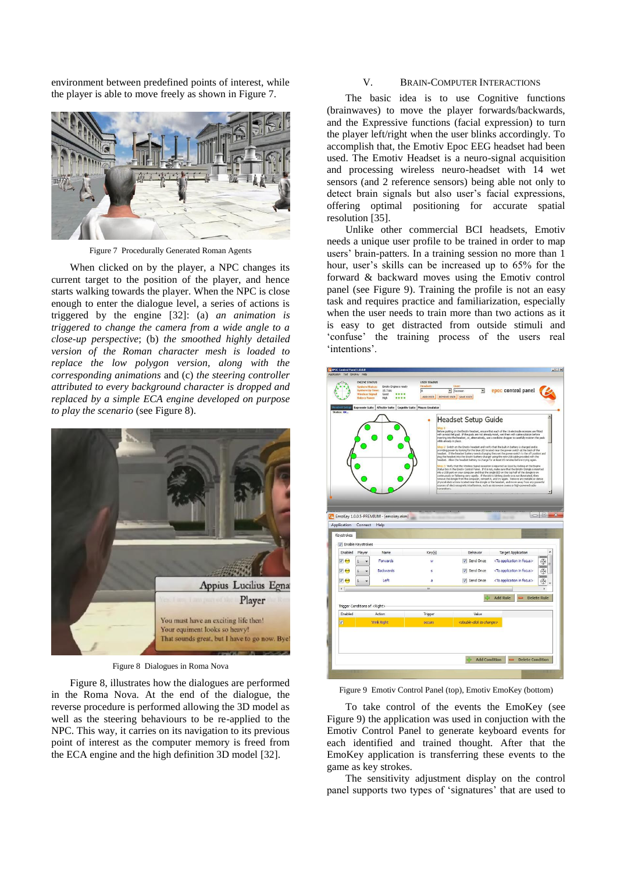environment between predefined points of interest, while the player is able to move freely as shown i[n Figure 7.](#page-5-0)



Figure 7 Procedurally Generated Roman Agents

<span id="page-5-0"></span>When clicked on by the player, a NPC changes its current target to the position of the player, and hence starts walking towards the player. When the NPC is close enough to enter the dialogue level, a series of actions is triggered by the engine [\[32\]:](#page-8-20) (a) *an animation is triggered to change the camera from a wide angle to a close-up perspective*; (b) *the smoothed highly detailed version of the Roman character mesh is loaded to replace the low polygon version, along with the corresponding animations* and (c) *the steering controller attributed to every background character is dropped and replaced by a simple ECA engine developed on purpose to play the scenario* (see [Figure 8\)](#page-5-1).



Figure 8 Dialogues in Roma Nova

<span id="page-5-1"></span>[Figure 8,](#page-5-1) illustrates how the dialogues are performed in the Roma Nova. At the end of the dialogue, the reverse procedure is performed allowing the 3D model as well as the steering behaviours to be re-applied to the NPC. This way, it carries on its navigation to its previous point of interest as the computer memory is freed from the ECA engine and the high definition 3D model [\[32\].](#page-8-20)

#### V. BRAIN-COMPUTER INTERACTIONS

The basic idea is to use Cognitive functions (brainwaves) to move the player forwards/backwards, and the Expressive functions (facial expression) to turn the player left/right when the user blinks accordingly. To accomplish that, the Emotiv Epoc EEG headset had been used. The Emotiv Headset is a neuro-signal acquisition and processing wireless neuro-headset with 14 wet sensors (and 2 reference sensors) being able not only to detect brain signals but also user's facial expressions, offering optimal positioning for accurate spatial resolution [\[35\].](#page-8-23)

Unlike other commercial BCI headsets, Emotiv needs a unique user profile to be trained in order to map users" brain-patters. In a training session no more than 1 hour, user's skills can be increased up to 65% for the forward & backward moves using the Emotiv control panel (see [Figure 9\)](#page-5-2). Training the profile is not an easy task and requires practice and familiarization, especially when the user needs to train more than two actions as it is easy to get distracted from outside stimuli and "confuse" the training process of the users real 'intentions'.

|                           | System Up Time:<br><b>Wireless Signal</b><br><b>Batery Power</b> | 15.7166<br>Good<br><br>High<br>       | ADD USER REMOVE USER SAVE USER<br>Expressiv Suite   Affectiv Suite   Cognitiv Suite   Mouse Emulator | $\overline{\mathbf{v}}$<br>v faceman                                                                                                                                                                                                                                                                                                                                                                                                                                                                                                                                                                                                                                                                                                                                                                                                                                                                                                                                                                                                                                                                                                                                                                                                                                                                                                                                                                                                                                                                                                  | epoc control panel                      |                    |
|---------------------------|------------------------------------------------------------------|---------------------------------------|------------------------------------------------------------------------------------------------------|---------------------------------------------------------------------------------------------------------------------------------------------------------------------------------------------------------------------------------------------------------------------------------------------------------------------------------------------------------------------------------------------------------------------------------------------------------------------------------------------------------------------------------------------------------------------------------------------------------------------------------------------------------------------------------------------------------------------------------------------------------------------------------------------------------------------------------------------------------------------------------------------------------------------------------------------------------------------------------------------------------------------------------------------------------------------------------------------------------------------------------------------------------------------------------------------------------------------------------------------------------------------------------------------------------------------------------------------------------------------------------------------------------------------------------------------------------------------------------------------------------------------------------------|-----------------------------------------|--------------------|
| Status: OK.               |                                                                  |                                       | itep 1<br>while already in place.<br>transmitters.                                                   | Headset Setup Guide<br>Before putting on the Errotiv headset, ensure that each of the 16 electrode recesses are fitted<br>with a moist felt pad. If the pads are not already moist, wet them with saline solution before<br>inserting into the headset, or, alternatively, use a medicine dropper to carefully moisten the pads<br>Rep 2: Switch on the Emotiv headset and verify that the buit-in battery is charged and is<br>providing power by looking for the blue LED located near the power switch at the back of the<br>headset. If the headset battery needs charging then set the power switch to the off position and<br>plug the headset into the Emotiv battery charger using the mini-USB cable provided with the<br>headset. Allow the headset battery to charge for at least 15 minutes before trying again.<br>itep 3. Verify that the Wireless Signal reception is reported as Good by looking at the Engine<br>Status box in the Emotiv Control Panel. If it is not, make sure that the Emotiv Dongle is inserted<br>into a USB port on your computer and that the single LED on the top half of the dongle is on<br>continuously or flickering very rapidly. If the LED is blinking slowly or is not illuminated, then<br>emove the dongle from the computer, reinsert it, and try again. Remove any metallic or dense<br>physical obstructions located near the dongle or the headset, and move away from any powerful<br>sources of electromagnetic interference, such as microwave ovens or high-powered radio |                                         | $\blacktriangle$   |
|                           |                                                                  |                                       |                                                                                                      |                                                                                                                                                                                                                                                                                                                                                                                                                                                                                                                                                                                                                                                                                                                                                                                                                                                                                                                                                                                                                                                                                                                                                                                                                                                                                                                                                                                                                                                                                                                                       |                                         | $\Box$             |
| Application<br>Keystrokes | Connect Help                                                     | EmoKey 1.0.0.5-PREMIUM - [emokey.ekm] |                                                                                                      |                                                                                                                                                                                                                                                                                                                                                                                                                                                                                                                                                                                                                                                                                                                                                                                                                                                                                                                                                                                                                                                                                                                                                                                                                                                                                                                                                                                                                                                                                                                                       |                                         |                    |
|                           | T Enable Keystrokes                                              |                                       |                                                                                                      |                                                                                                                                                                                                                                                                                                                                                                                                                                                                                                                                                                                                                                                                                                                                                                                                                                                                                                                                                                                                                                                                                                                                                                                                                                                                                                                                                                                                                                                                                                                                       |                                         |                    |
| Enabled                   | Player                                                           | Name                                  | Key(s)                                                                                               | Behavior                                                                                                                                                                                                                                                                                                                                                                                                                                                                                                                                                                                                                                                                                                                                                                                                                                                                                                                                                                                                                                                                                                                                                                                                                                                                                                                                                                                                                                                                                                                              | <b>Target Application</b>               |                    |
| $\sqrt{6}$                | 1                                                                | Forwards                              | w                                                                                                    | V Send Once                                                                                                                                                                                                                                                                                                                                                                                                                                                                                                                                                                                                                                                                                                                                                                                                                                                                                                                                                                                                                                                                                                                                                                                                                                                                                                                                                                                                                                                                                                                           | <to application="" focus="" in=""></to> | ⊕<br>E             |
| $\sqrt{6}$                | 1                                                                | Backwards                             | s                                                                                                    | V Send Once                                                                                                                                                                                                                                                                                                                                                                                                                                                                                                                                                                                                                                                                                                                                                                                                                                                                                                                                                                                                                                                                                                                                                                                                                                                                                                                                                                                                                                                                                                                           | <to application="" focus="" in=""></to> | ⊕                  |
| $\vee$                    | 1                                                                | Left                                  | я                                                                                                    | V Send Once                                                                                                                                                                                                                                                                                                                                                                                                                                                                                                                                                                                                                                                                                                                                                                                                                                                                                                                                                                                                                                                                                                                                                                                                                                                                                                                                                                                                                                                                                                                           | <to application="" focus="" in=""></to> |                    |
| $\overline{a}$            |                                                                  |                                       | $\mathbf{m}$                                                                                         |                                                                                                                                                                                                                                                                                                                                                                                                                                                                                                                                                                                                                                                                                                                                                                                                                                                                                                                                                                                                                                                                                                                                                                                                                                                                                                                                                                                                                                                                                                                                       |                                         | ⊕                  |
|                           |                                                                  |                                       |                                                                                                      |                                                                                                                                                                                                                                                                                                                                                                                                                                                                                                                                                                                                                                                                                                                                                                                                                                                                                                                                                                                                                                                                                                                                                                                                                                                                                                                                                                                                                                                                                                                                       | <b>Add Rule</b>                         | <b>Delete Rule</b> |
|                           | Trigger Conditions of <right></right>                            |                                       |                                                                                                      |                                                                                                                                                                                                                                                                                                                                                                                                                                                                                                                                                                                                                                                                                                                                                                                                                                                                                                                                                                                                                                                                                                                                                                                                                                                                                                                                                                                                                                                                                                                                       |                                         |                    |
| Enabled                   |                                                                  | Action                                | Trigger                                                                                              | Value                                                                                                                                                                                                                                                                                                                                                                                                                                                                                                                                                                                                                                                                                                                                                                                                                                                                                                                                                                                                                                                                                                                                                                                                                                                                                                                                                                                                                                                                                                                                 |                                         |                    |
| $\overline{J}$            |                                                                  | Wink Right                            | occurs                                                                                               | <double-click change="" to=""></double-click>                                                                                                                                                                                                                                                                                                                                                                                                                                                                                                                                                                                                                                                                                                                                                                                                                                                                                                                                                                                                                                                                                                                                                                                                                                                                                                                                                                                                                                                                                         |                                         |                    |

<span id="page-5-2"></span>Figure 9 Emotiv Control Panel (top), Emotiv EmoKey (bottom)

To take control of the events the EmoKey (see [Figure 9\)](#page-5-2) the application was used in conjuction with the Emotiv Control Panel to generate keyboard events for each identified and trained thought. After that the EmoKey application is transferring these events to the game as key strokes.

The sensitivity adjustment display on the control panel supports two types of 'signatures' that are used to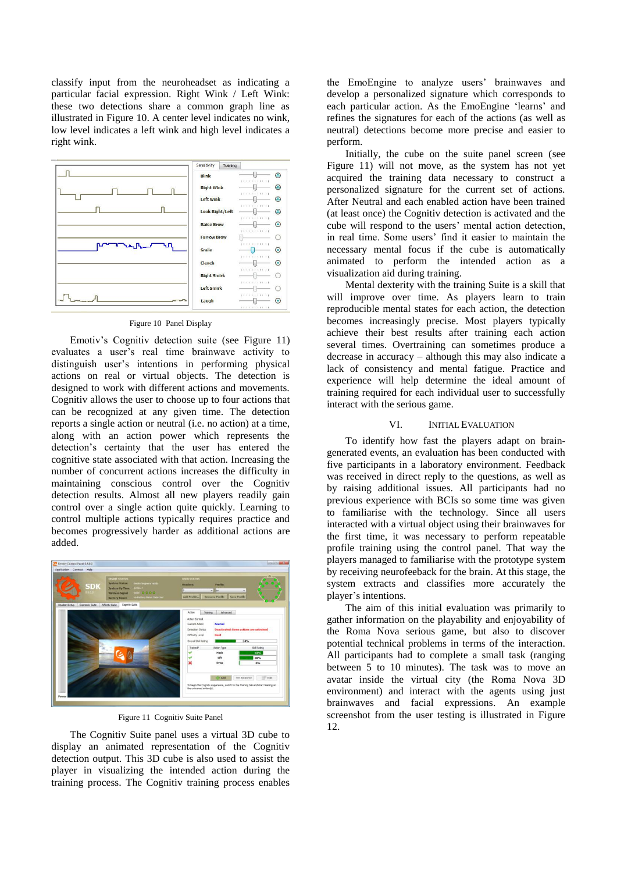classify input from the neuroheadset as indicating a particular facial expression. Right Wink / Left Wink: these two detections share a common graph line as illustrated in [Figure 10.](#page-6-1) A center level indicates no wink, low level indicates a left wink and high level indicates a right wink.



#### Figure 10 Panel Display

<span id="page-6-1"></span>Emotiv"s Cognitiv detection suite (see [Figure 11\)](#page-6-2) evaluates a user"s real time brainwave activity to distinguish user"s intentions in performing physical actions on real or virtual objects. The detection is designed to work with different actions and movements. Cognitiv allows the user to choose up to four actions that can be recognized at any given time. The detection reports a single action or neutral (i.e. no action) at a time, along with an action power which represents the detection"s certainty that the user has entered the cognitive state associated with that action. Increasing the number of concurrent actions increases the difficulty in maintaining conscious control over the Cognitiv detection results. Almost all new players readily gain control over a single action quite quickly. Learning to control multiple actions typically requires practice and becomes progressively harder as additional actions are added.



Figure 11 Cognitiv Suite Panel

<span id="page-6-2"></span>The Cognitiv Suite panel uses a virtual 3D cube to display an animated representation of the Cognitiv detection output. This 3D cube is also used to assist the player in visualizing the intended action during the training process. The Cognitiv training process enables the EmoEngine to analyze users' brainwaves and develop a personalized signature which corresponds to each particular action. As the EmoEngine 'learns' and refines the signatures for each of the actions (as well as neutral) detections become more precise and easier to perform.

Initially, the cube on the suite panel screen (see [Figure 11\)](#page-6-2) will not move, as the system has not yet acquired the training data necessary to construct a personalized signature for the current set of actions. After Neutral and each enabled action have been trained (at least once) the Cognitiv detection is activated and the cube will respond to the users" mental action detection, in real time. Some users" find it easier to maintain the necessary mental focus if the cube is automatically animated to perform the intended action as a visualization aid during training.

Mental dexterity with the training Suite is a skill that will improve over time. As players learn to train reproducible mental states for each action, the detection becomes increasingly precise. Most players typically achieve their best results after training each action several times. Overtraining can sometimes produce a decrease in accuracy – although this may also indicate a lack of consistency and mental fatigue. Practice and experience will help determine the ideal amount of training required for each individual user to successfully interact with the serious game.

#### <span id="page-6-0"></span>VI. INITIAL EVALUATION

To identify how fast the players adapt on braingenerated events, an evaluation has been conducted with five participants in a laboratory environment. Feedback was received in direct reply to the questions, as well as by raising additional issues. All participants had no previous experience with BCIs so some time was given to familiarise with the technology. Since all users interacted with a virtual object using their brainwaves for the first time, it was necessary to perform repeatable profile training using the control panel. That way the players managed to familiarise with the prototype system by receiving neurofeeback for the brain. At this stage, the system extracts and classifies more accurately the player"s intentions.

The aim of this initial evaluation was primarily to gather information on the playability and enjoyability of the Roma Nova serious game, but also to discover potential technical problems in terms of the interaction. All participants had to complete a small task (ranging between 5 to 10 minutes). The task was to move an avatar inside the virtual city (the Roma Nova 3D environment) and interact with the agents using just brainwaves and facial expressions. An example screenshot from the user testing is illustrated in [Figure](#page-7-12)  [12.](#page-7-12)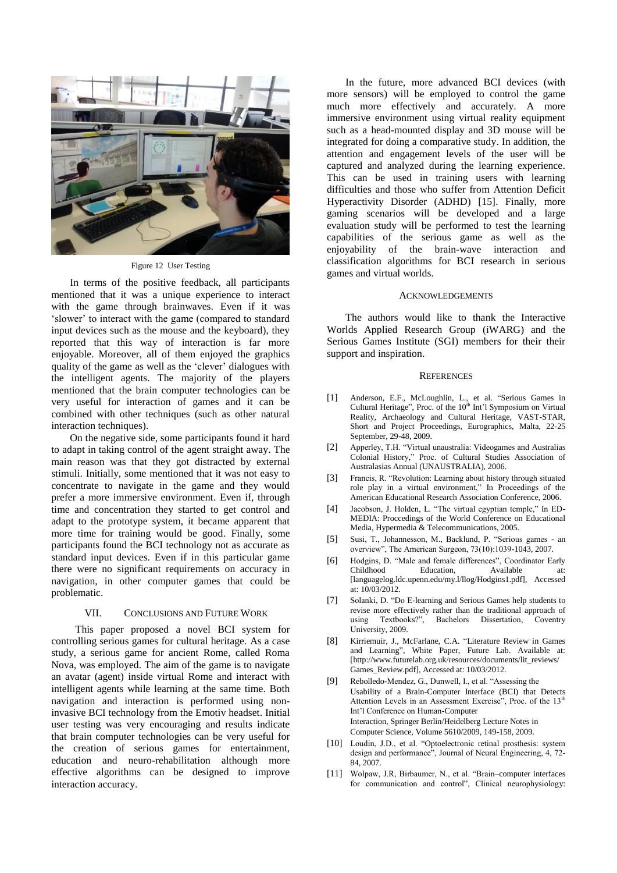

Figure 12 User Testing

<span id="page-7-12"></span>In terms of the positive feedback, all participants mentioned that it was a unique experience to interact with the game through brainwaves. Even if it was 'slower' to interact with the game (compared to standard input devices such as the mouse and the keyboard), they reported that this way of interaction is far more enjoyable. Moreover, all of them enjoyed the graphics quality of the game as well as the "clever" dialogues with the intelligent agents. The majority of the players mentioned that the brain computer technologies can be very useful for interaction of games and it can be combined with other techniques (such as other natural interaction techniques).

On the negative side, some participants found it hard to adapt in taking control of the agent straight away. The main reason was that they got distracted by external stimuli. Initially, some mentioned that it was not easy to concentrate to navigate in the game and they would prefer a more immersive environment. Even if, through time and concentration they started to get control and adapt to the prototype system, it became apparent that more time for training would be good. Finally, some participants found the BCI technology not as accurate as standard input devices. Even if in this particular game there were no significant requirements on accuracy in navigation, in other computer games that could be problematic.

#### <span id="page-7-10"></span>VII. CONCLUSIONS AND FUTURE WORK

This paper proposed a novel BCI system for controlling serious games for cultural heritage. As a case study, a serious game for ancient Rome, called Roma Nova, was employed. The aim of the game is to navigate an avatar (agent) inside virtual Rome and interact with intelligent agents while learning at the same time. Both navigation and interaction is performed using noninvasive BCI technology from the Emotiv headset. Initial user testing was very encouraging and results indicate that brain computer technologies can be very useful for the creation of serious games for entertainment, education and neuro-rehabilitation although more effective algorithms can be designed to improve interaction accuracy.

In the future, more advanced BCI devices (with more sensors) will be employed to control the game much more effectively and accurately. A more immersive environment using virtual reality equipment such as a head-mounted display and 3D mouse will be integrated for doing a comparative study. In addition, the attention and engagement levels of the user will be captured and analyzed during the learning experience. This can be used in training users with learning difficulties and those who suffer from Attention Deficit Hyperactivity Disorder (ADHD) [\[15\].](#page-8-3) Finally, more gaming scenarios will be developed and a large evaluation study will be performed to test the learning capabilities of the serious game as well as the enjoyability of the brain-wave interaction and classification algorithms for BCI research in serious games and virtual worlds.

#### ACKNOWLEDGEMENTS

The authors would like to thank the Interactive Worlds Applied Research Group (iWARG) and the Serious Games Institute (SGI) members for their their support and inspiration.

#### **REFERENCES**

- <span id="page-7-0"></span>[1] Anderson, E.F., McLoughlin, L., et al. "Serious Games in Cultural Heritage", Proc. of the 10<sup>th</sup> Int'l Symposium on Virtual Reality, Archaeology and Cultural Heritage, VAST-STAR, Short and Project Proceedings, Eurographics, Malta, 22-25 September, 29-48, 2009.
- <span id="page-7-1"></span>[2] Apperley, T.H. "Virtual unaustralia: Videogames and Australias Colonial History," Proc. of Cultural Studies Association of Australasias Annual (UNAUSTRALIA), 2006.
- <span id="page-7-2"></span>[3] Francis, R. "Revolution: Learning about history through situated role play in a virtual environment," In Proceedings of the American Educational Research Association Conference, 2006.
- <span id="page-7-3"></span>[4] Jacobson, J. Holden, L. "The virtual egyptian temple," In ED-MEDIA: Proccedings of the World Conference on Educational Media, Hypermedia & Telecommunications, 2005.
- <span id="page-7-4"></span>[5] Susi, T., Johannesson, M., Backlund, P. "Serious games - an overview", The American Surgeon, 73(10):1039-1043, 2007.
- <span id="page-7-5"></span>[6] Hodgins, D. "Male and female differences", Coordinator Early Childhood Education, Available at: [languagelog.ldc.upenn.edu/my.l/llog/Hodgins1.pdf], Accessed at: 10/03/2012.
- <span id="page-7-6"></span>[7] Solanki, D. "Do E-learning and Serious Games help students to revise more effectively rather than the traditional approach of using Textbooks?", Bachelors Dissertation, Coventry University, 2009.
- <span id="page-7-7"></span>[8] Kirriemuir, J., McFarlane, C.A. "Literature Review in Games and Learning", White Paper, Future Lab. Available at: [http://www.futurelab.org.uk/resources/documents/lit\_reviews/ Games\_Review.pdf], Accessed at: 10/03/2012.
- <span id="page-7-8"></span>[9] Rebolledo-Mendez, G., Dunwell, I., et al. "Assessing the Usability of a Brain-Computer Interface (BCI) that Detects Attention Levels in an Assessment Exercise", Proc. of the 13<sup>th</sup> Int"l Conference on Human-Computer Interaction, Springer Berlin/Heidelberg Lecture Notes in Computer Science, Volume 5610/2009, 149-158, 2009.
- <span id="page-7-9"></span>[10] Loudin, J.D., et al. "Optoelectronic retinal prosthesis: system design and performance", Journal of Neural Engineering, 4, 72- 84, 2007.
- <span id="page-7-11"></span>[11] Wolpaw, J.R, Birbaumer, N., et al. "Brain–computer interfaces for communication and control", Clinical neurophysiology: